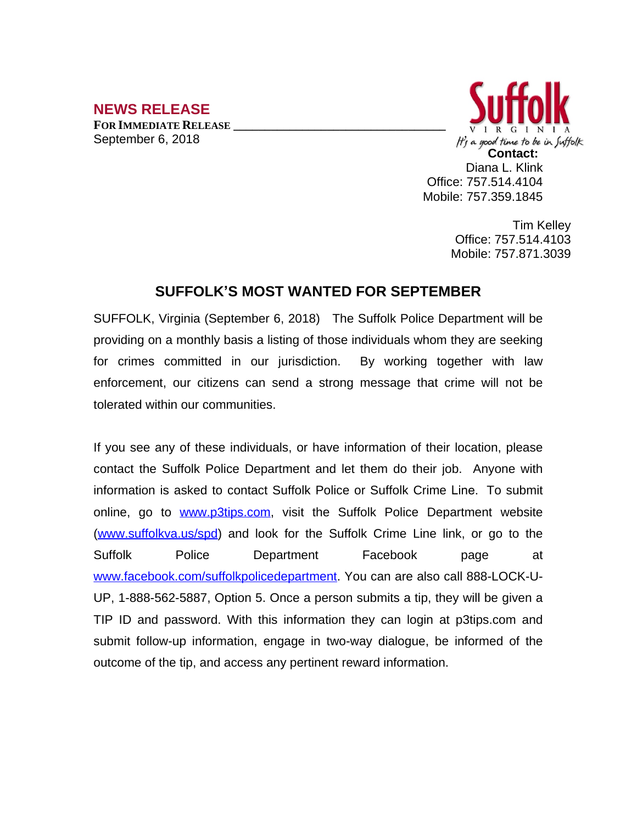## **NEWS RELEASE**

**FOR IMMEDIATE RELEASE \_\_\_\_\_\_\_\_\_\_\_\_\_\_\_\_\_\_\_\_\_\_\_\_\_\_\_\_\_\_\_\_\_\_** September 6, 2018



Diana L. Klink Office: 757.514.4104 Mobile: 757.359.1845

> Tim Kelley Office: 757.514.4103 Mobile: 757.871.3039

## **SUFFOLK'S MOST WANTED FOR SEPTEMBER**

SUFFOLK, Virginia (September 6, 2018) The Suffolk Police Department will be providing on a monthly basis a listing of those individuals whom they are seeking for crimes committed in our jurisdiction. By working together with law enforcement, our citizens can send a strong message that crime will not be tolerated within our communities.

If you see any of these individuals, or have information of their location, please contact the Suffolk Police Department and let them do their job. Anyone with information is asked to contact Suffolk Police or Suffolk Crime Line. To submit online, go to [www.p3tips.com](http://www.p3tips.com), visit the Suffolk Police Department website ([www.suffolkva.us/spd](http://www.suffolkva.us/spd)) and look for the Suffolk Crime Line link, or go to the Suffolk Police Department Facebook page at [www.facebook.com/suffolkpolicedepartment](http://www.facebook.com/suffolkpolicedepartment). You can are also call 888-LOCK-U-UP, 1-888-562-5887, Option 5. Once a person submits a tip, they will be given a TIP ID and password. With this information they can login at p3tips.com and submit follow-up information, engage in two-way dialogue, be informed of the outcome of the tip, and access any pertinent reward information.